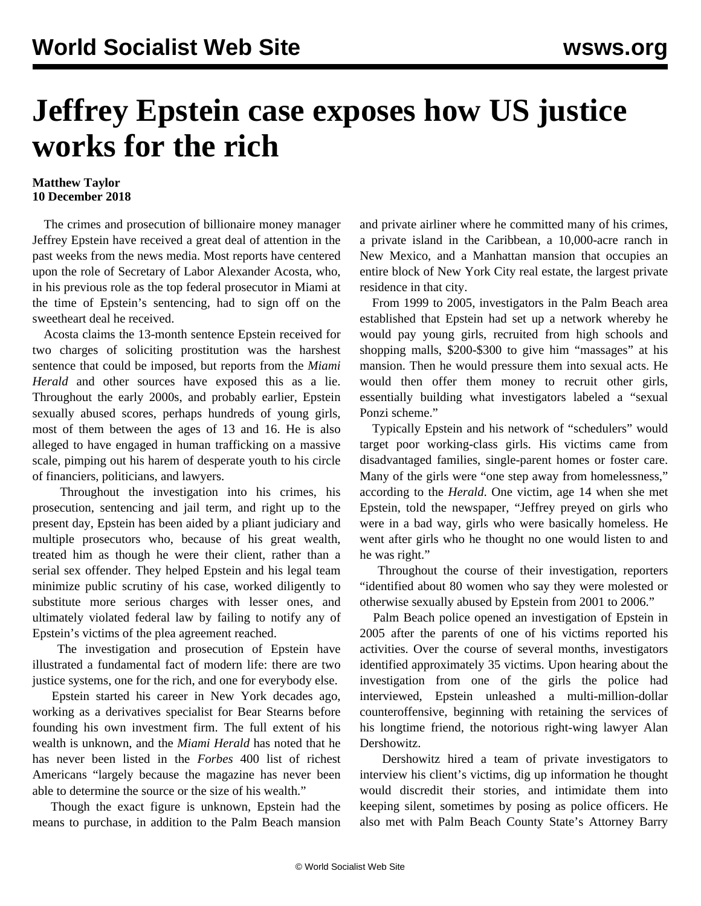## **Jeffrey Epstein case exposes how US justice works for the rich**

## **Matthew Taylor 10 December 2018**

 The crimes and prosecution of billionaire money manager Jeffrey Epstein have received a great deal of attention in the past weeks from the news media. Most reports have centered upon the role of Secretary of Labor Alexander Acosta, who, in his previous role as the top federal prosecutor in Miami at the time of Epstein's sentencing, had to sign off on the sweetheart deal he received.

 Acosta claims the 13-month sentence Epstein received for two charges of soliciting prostitution was the harshest sentence that could be imposed, but reports from the *Miami Herald* and other sources have exposed this as a lie. Throughout the early 2000s, and probably earlier, Epstein sexually abused scores, perhaps hundreds of young girls, most of them between the ages of 13 and 16. He is also alleged to have engaged in human trafficking on a massive scale, pimping out his harem of desperate youth to his circle of financiers, politicians, and lawyers.

 Throughout the investigation into his crimes, his prosecution, sentencing and jail term, and right up to the present day, Epstein has been aided by a pliant judiciary and multiple prosecutors who, because of his great wealth, treated him as though he were their client, rather than a serial sex offender. They helped Epstein and his legal team minimize public scrutiny of his case, worked diligently to substitute more serious charges with lesser ones, and ultimately violated federal law by failing to notify any of Epstein's victims of the plea agreement reached.

 The investigation and prosecution of Epstein have illustrated a fundamental fact of modern life: there are two justice systems, one for the rich, and one for everybody else.

 Epstein started his career in New York decades ago, working as a derivatives specialist for Bear Stearns before founding his own investment firm. The full extent of his wealth is unknown, and the *Miami Herald* has noted that he has never been listed in the *Forbes* 400 list of richest Americans "largely because the magazine has never been able to determine the source or the size of his wealth."

 Though the exact figure is unknown, Epstein had the means to purchase, in addition to the Palm Beach mansion and private airliner where he committed many of his crimes, a private island in the Caribbean, a 10,000-acre ranch in New Mexico, and a Manhattan mansion that occupies an entire block of New York City real estate, the largest private residence in that city.

 From 1999 to 2005, investigators in the Palm Beach area established that Epstein had set up a network whereby he would pay young girls, recruited from high schools and shopping malls, \$200-\$300 to give him "massages" at his mansion. Then he would pressure them into sexual acts. He would then offer them money to recruit other girls, essentially building what investigators labeled a "sexual Ponzi scheme."

 Typically Epstein and his network of "schedulers" would target poor working-class girls. His victims came from disadvantaged families, single-parent homes or foster care. Many of the girls were "one step away from homelessness," according to the *Herald*. One victim, age 14 when she met Epstein, told the newspaper, "Jeffrey preyed on girls who were in a bad way, girls who were basically homeless. He went after girls who he thought no one would listen to and he was right."

 Throughout the course of their investigation, reporters "identified about 80 women who say they were molested or otherwise sexually abused by Epstein from 2001 to 2006."

 Palm Beach police opened an investigation of Epstein in 2005 after the parents of one of his victims reported his activities. Over the course of several months, investigators identified approximately 35 victims. Upon hearing about the investigation from one of the girls the police had interviewed, Epstein unleashed a multi-million-dollar counteroffensive, beginning with retaining the services of his longtime friend, the notorious right-wing lawyer Alan Dershowitz.

 Dershowitz hired a team of private investigators to interview his client's victims, dig up information he thought would discredit their stories, and intimidate them into keeping silent, sometimes by posing as police officers. He also met with Palm Beach County State's Attorney Barry